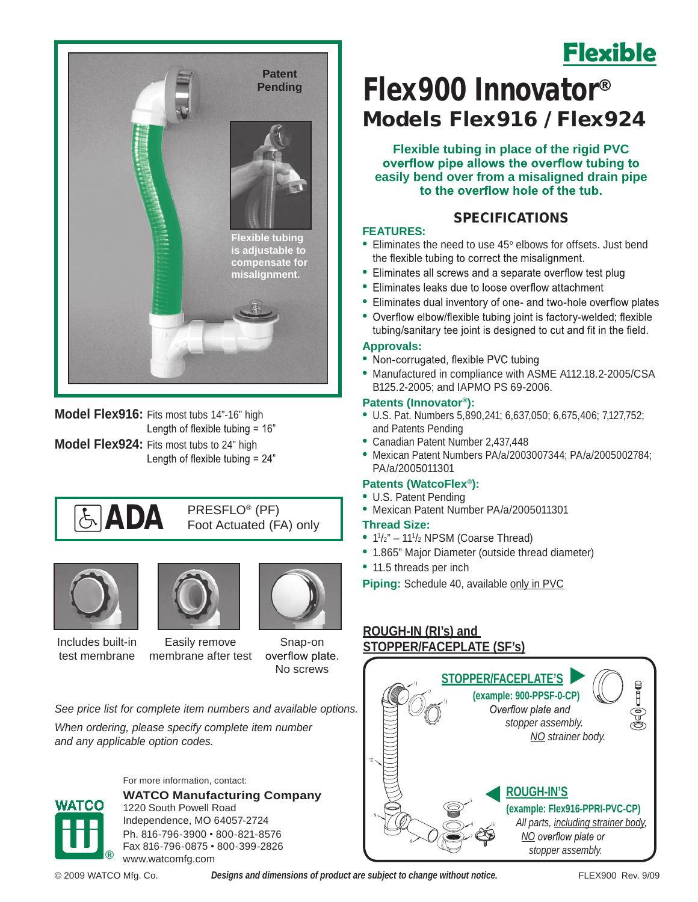

**Model Flex916:** Fits most tubs 14"-16" high<br>"Length of flexible tubing = 16 **Model Flex924:** Fits most tubs to 24" high<br>"Length of flexible tubing = 24"







Snap-on overflow plate.

No screws

*See price list for complete item numbers and available options.*

*When ordering, please specify complete item number and any applicable option codes.*



For more information, contact: **WATCO Manufacturing Company** 1220 South Powell Road Independence, MO 64057-2724 Ph. 816-796-3900 • 800-821-8576 Fax 816-796-0875 • 800-399-2826 www.watcomfg.com

# **Flexible**

### Models Flex916 / Flex924 Flex900 Innovator®

**Flexible tubing in place of the rigid PVC easily bend over from a misaligned drain pipe** 

### SPECIFICATIONS

#### **FEATURES:**

- Eliminates the need to use 45° elbows for offsets. Just bend
- Eliminates all screws and a separate overflow test plug
- **•** Eliminates leaks due to loose overflow attachment
- Eliminates dual inventory of one- and two-hole overflow plates
- Overflow elbow/flexible tubing joint is factory-welded; flexible tubing/sanitary tee joint is designed to cut and fit in the field.

#### **Approvals:**

- Non-corrugated, flexible PVC tubing
- **•** Manufactured in compliance with ASME A112.18.2-2005/CSA B125.2-2005; and IAPMO PS 69-2006.

#### **Patents (Innovator®):**

- **•** U.S. Pat. Numbers 5,890,241; 6,637,050; 6,675,406; 7,127,752; and Patents Pending
- **•** Canadian Patent Number 2,437,448
- **•** Mexican Patent Numbers PA/a/2003007344; PA/a/2005002784; PA/a/2005011301

#### **Patents (WatcoFlex®):**

- **•** U.S. Patent Pending
- **•** Mexican Patent Number PA/a/2005011301

#### **Thread Size:**

- 1<sup>1</sup>/<sub>2</sub>" 11<sup>1</sup>/<sub>2</sub> NPSM (Coarse Thread)
- **•** 1.865" Major Diameter (outside thread diameter)
- **•** 11.5 threads per inch

**Piping:** Schedule 40, available only in PVC

#### **ROUGH-IN (RI's) and STOPPER/FACEPLATE (SF's)**